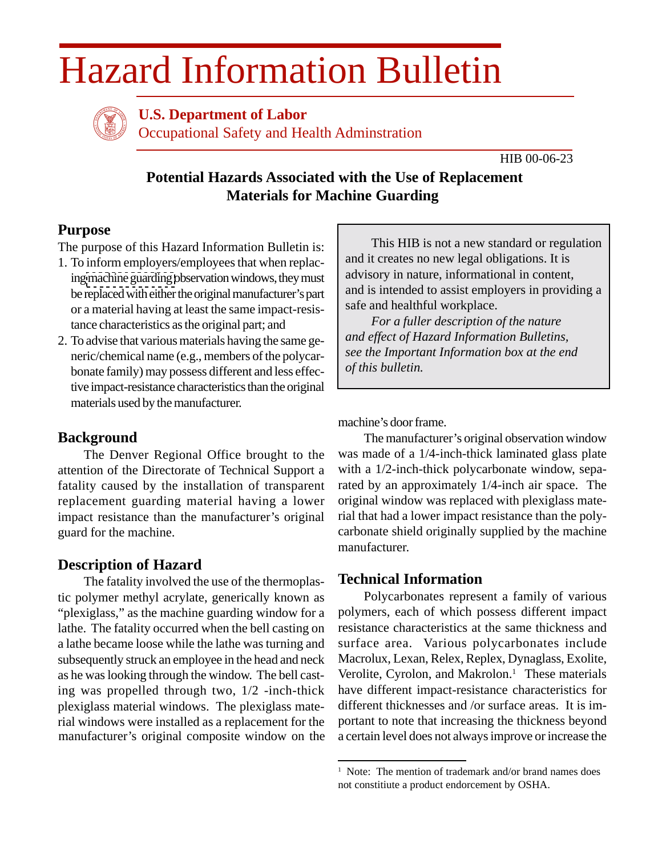# Hazard Information Bulletin



**U.S. Department of Labor**

Occupational Safety and Health Adminstration

HIB 00-06-23

# **Potential Hazards Associated with the Use of Replacement Materials for Machine Guarding**

# **Purpose**

The purpose of this Hazard Information Bulletin is:

- 1. To inform employers/employees that when replacing [machine guarding o](http://www.osha-slc.gov/SLTC/machineguarding/index.html)bservation windows, they must be replaced with either the original manufacturer's part or a material having at least the same impact-resistance characteristics as the original part; and
- 2. To advise that various materials having the same generic/chemical name (e.g., members of the polycarbonate family) may possess different and less effective impact-resistance characteristics than the original materials used by the manufacturer.

## **Background**

The Denver Regional Office brought to the attention of the Directorate of Technical Support a fatality caused by the installation of transparent replacement guarding material having a lower impact resistance than the manufacturer's original guard for the machine.

## **Description of Hazard**

The fatality involved the use of the thermoplastic polymer methyl acrylate, generically known as "plexiglass," as the machine guarding window for a lathe. The fatality occurred when the bell casting on a lathe became loose while the lathe was turning and subsequently struck an employee in the head and neck as he was looking through the window. The bell casting was propelled through two, 1/2 -inch-thick plexiglass material windows. The plexiglass material windows were installed as a replacement for the manufacturer's original composite window on the

This HIB is not a new standard or regulation and it creates no new legal obligations. It is advisory in nature, informational in content, and is intended to assist employers in providing a safe and healthful workplace.

*For a fuller description of the nature and effect of Hazard Information Bulletins, see the Important Information box at the end of this bulletin.*

machine's door frame.

The manufacturer's original observation window was made of a 1/4-inch-thick laminated glass plate with a 1/2-inch-thick polycarbonate window, separated by an approximately 1/4-inch air space. The original window was replaced with plexiglass material that had a lower impact resistance than the polycarbonate shield originally supplied by the machine manufacturer.

## **Technical Information**

Polycarbonates represent a family of various polymers, each of which possess different impact resistance characteristics at the same thickness and surface area. Various polycarbonates include Macrolux, Lexan, Relex, Replex, Dynaglass, Exolite, Verolite, Cyrolon, and Makrolon. $<sup>1</sup>$  These materials</sup> have different impact-resistance characteristics for different thicknesses and /or surface areas. It is important to note that increasing the thickness beyond a certain level does not always improve or increase the

<sup>&</sup>lt;sup>1</sup> Note: The mention of trademark and/or brand names does not constitiute a product endorcement by OSHA.